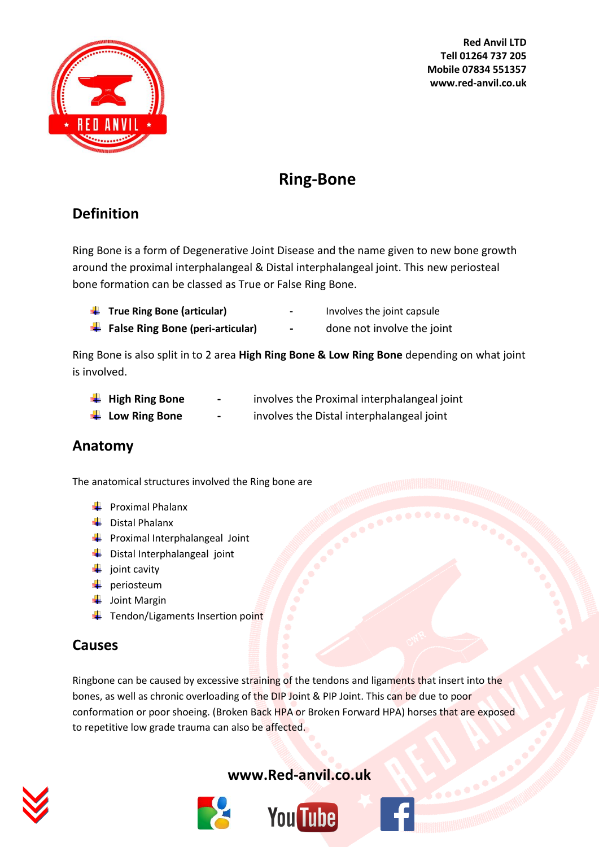

**Red Anvil LTD Tell 01264 737 205 Mobile 07834 551357 www.red-anvil.co.uk**

# **Ring-Bone**

## **Definition**

Ring Bone is a form of Degenerative Joint Disease and the name given to new bone growth around the proximal interphalangeal & Distal interphalangeal joint. This new periosteal bone formation can be classed as True or False Ring Bone.

- **True Ring Bone (articular) -** Involves the joint capsule
	-
- **False Ring Bone (peri-articular) -** done not involve the joint
- 

Ring Bone is also split in to 2 area **High Ring Bone & Low Ring Bone** depending on what joint is involved.

| $\frac{1}{\sqrt{2}}$ High Ring Bone | $\blacksquare$ | involves the Proximal interphalangeal joint |
|-------------------------------------|----------------|---------------------------------------------|
| $\frac{1}{2}$ Low Ring Bone         | $\blacksquare$ | involves the Distal interphalangeal joint   |

#### **Anatomy**

The anatomical structures involved the Ring bone are

- $\leftarrow$  Proximal Phalanx
- $\overline{\phantom{a}}$  Distal Phalanx
- $\ddot{\bullet}$  Proximal Interphalangeal Joint
- **↓** Distal Interphalangeal joint
- $\downarrow$  joint cavity
- $\downarrow$  periosteum
- $\downarrow$  Joint Margin
- $\ddot{\phantom{a}}$  Tendon/Ligaments Insertion point

#### **Causes**

Ringbone can be caused by excessive straining of the tendons and ligaments that insert into the bones, as well as chronic overloading of the DIP Joint & PIP Joint. This can be due to poor conformation or poor shoeing. (Broken Back HPA or Broken Forward HPA) horses that are exposed to repetitive low grade trauma can also be affected.



#### **[www.Red-anvil.co.uk](http://www.red-anvil.co.uk/)**



# **You Tube**

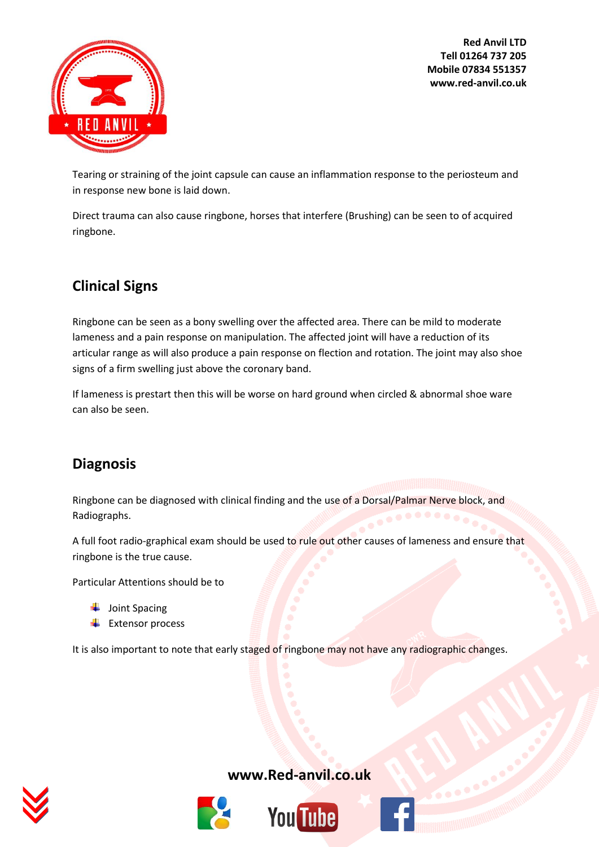**Red Anvil LTD Tell 01264 737 205 Mobile 07834 551357 www.red-anvil.co.uk**



Tearing or straining of the joint capsule can cause an inflammation response to the periosteum and in response new bone is laid down.

Direct trauma can also cause ringbone, horses that interfere (Brushing) can be seen to of acquired ringbone.

# **Clinical Signs**

Ringbone can be seen as a bony swelling over the affected area. There can be mild to moderate lameness and a pain response on manipulation. The affected joint will have a reduction of its articular range as will also produce a pain response on flection and rotation. The joint may also shoe signs of a firm swelling just above the coronary band.

If lameness is prestart then this will be worse on hard ground when circled & abnormal shoe ware can also be seen.

# **Diagnosis**

Ringbone can be diagnosed with clinical finding and the use of a Dorsal/Palmar Nerve block, and Radiographs.

A full foot radio-graphical exam should be used to rule out other causes of lameness and ensure that ringbone is the true cause.

Particular Attentions should be to

 $\downarrow$  Joint Spacing

 $\leftarrow$  Extensor process

It is also important to note that early staged of ringbone may not have any radiographic changes.



#### **[www.Red-anvil.co.uk](http://www.red-anvil.co.uk/)**